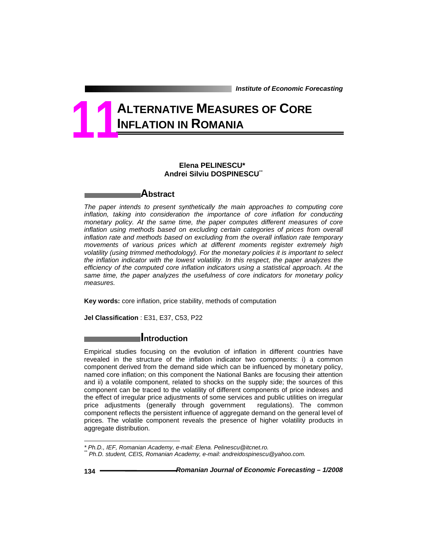# **ALTERNATIVE MEASURES OF CORE INFLATION IN ROMANIA 11**

## **Elena PELINESCU\*<sup>1</sup> Andrei Silviu DOSPINESCU**\*\*

# **Abstract**

The paper intends to present synthetically the main approaches to computing core *inflation, taking into consideration the importance of core inflation for conducting monetary policy. At the same time, the paper computes different measures of core inflation using methods based on excluding certain categories of prices from overall inflation rate and methods based on excluding from the overall inflation rate temporary movements of various prices which at different moments register extremely high volatility (using trimmed methodology). For the monetary policies it is important to select the inflation indicator with the lowest volatility. In this respect, the paper analyzes the efficiency of the computed core inflation indicators using a statistical approach. At the same time, the paper analyzes the usefulness of core indicators for monetary policy measures.* 

**Key words:** core inflation, price stability, methods of computation

**Jel Classification** : E31, E37, C53, P22

# **Introduction**

Empirical studies focusing on the evolution of inflation in different countries have revealed in the structure of the inflation indicator two components: i) a common component derived from the demand side which can be influenced by monetary policy, named core inflation; on this component the National Banks are focusing their attention and ii) a volatile component, related to shocks on the supply side; the sources of this component can be traced to the volatility of different components of price indexes and the effect of irregular price adjustments of some services and public utilities on irregular price adjustments (generally through government regulations). The common component reflects the persistent influence of aggregate demand on the general level of prices. The volatile component reveals the presence of higher volatility products in aggregate distribution.

l

*<sup>\*</sup> Ph.D., IEF, Romanian Academy, e-mail: Elena. Pelinescu@itcnet.ro.* 

*<sup>\*\*</sup> Ph.D. student, CEIS, Romanian Academy, e-mail: andreidospinescu@yahoo.com.*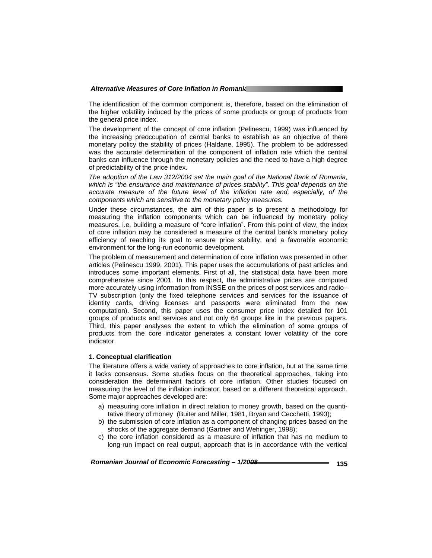The identification of the common component is, therefore, based on the elimination of the higher volatility induced by the prices of some products or group of products from the general price index.

The development of the concept of core inflation (Pelinescu, 1999) was influenced by the increasing preoccupation of central banks to establish as an objective of there monetary policy the stability of prices (Haldane, 1995). The problem to be addressed was the accurate determination of the component of inflation rate which the central banks can influence through the monetary policies and the need to have a high degree of predictability of the price index.

*The adoption of the Law 312/2004 set the main goal of the National Bank of Romania, which is "the ensurance and maintenance of prices stability". This goal depends on the accurate measure of the future level of the inflation rate and, especially, of the components which are sensitive to the monetary policy measures.* 

Under these circumstances, the aim of this paper is to present a methodology for measuring the inflation components which can be influenced by monetary policy measures, i.e. building a measure of "core inflation". From this point of view, the index of core inflation may be considered a measure of the central bank's monetary policy efficiency of reaching its goal to ensure price stability, and a favorable economic environment for the long-run economic development.

The problem of measurement and determination of core inflation was presented in other articles (Pelinescu 1999, 2001). This paper uses the accumulations of past articles and introduces some important elements. First of all, the statistical data have been more comprehensive since 2001. In this respect, the administrative prices are computed more accurately using information from INSSE on the prices of post services and radio– TV subscription (only the fixed telephone services and services for the issuance of identity cards, driving licenses and passports were eliminated from the new computation). Second, this paper uses the consumer price index detailed for 101 groups of products and services and not only 64 groups like in the previous papers. Third, this paper analyses the extent to which the elimination of some groups of products from the core indicator generates a constant lower volatility of the core indicator.

## **1. Conceptual clarification**

The literature offers a wide variety of approaches to core inflation, but at the same time it lacks consensus. Some studies focus on the theoretical approaches, taking into consideration the determinant factors of core inflation. Other studies focused on measuring the level of the inflation indicator, based on a different theoretical approach. Some major approaches developed are:

- a) measuring core inflation in direct relation to money growth, based on the quantitative theory of money (Buiter and Miller, 1981, Bryan and Cecchetti, 1993);
- b) the submission of core inflation as a component of changing prices based on the shocks of the aggregate demand (Gartner and Wehinger, 1998);
- c) the core inflation considered as a measure of inflation that has no medium to long-run impact on real output, approach that is in accordance with the vertical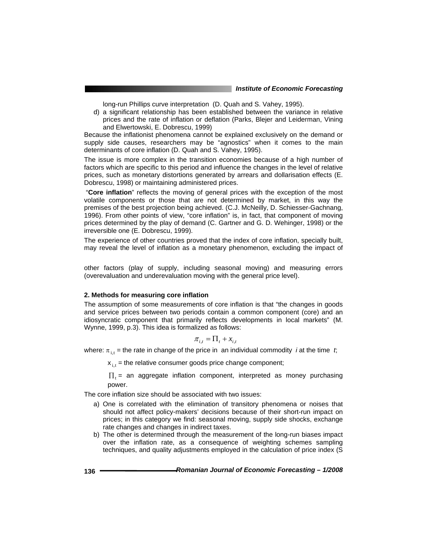long-run Phillips curve interpretation (D. Quah and S. Vahey, 1995).

d) a significant relationship has been established between the variance in relative prices and the rate of inflation or deflation (Parks, Blejer and Leiderman, Vining and Elwertowski, E. Dobrescu, 1999)

Because the inflationist phenomena cannot be explained exclusively on the demand or supply side causes, researchers may be "agnostics" when it comes to the main determinants of core inflation (D. Quah and S. Vahey, 1995).

The issue is more complex in the transition economies because of a high number of factors which are specific to this period and influence the changes in the level of relative prices, such as monetary distortions generated by arrears and dollarisation effects (E. Dobrescu, 1998) or maintaining administered prices.

 "**Core inflation**" reflects the moving of general prices with the exception of the most volatile components or those that are not determined by market, in this way the premises of the best projection being achieved. (C.J. McNeilly, D. Schiesser-Gachnang, 1996). From other points of view, "core inflation" is, in fact, that component of moving prices determined by the play of demand (C. Gartner and G. D. Wehinger, 1998) or the irreversible one (E. Dobrescu, 1999).

The experience of other countries proved that the index of core inflation, specially built, may reveal the level of inflation as a monetary phenomenon, excluding the impact of

other factors (play of supply, including seasonal moving) and measuring errors (overevaluation and underevaluation moving with the general price level).

## **2. Methods for measuring core inflation**

The assumption of some measurements of core inflation is that "the changes in goods and service prices between two periods contain a common component (core) and an idiosyncratic component that primarily reflects developments in local markets" (M. Wynne, 1999, p.3). This idea is formalized as follows:

$$
\pi_{i,t} = \Pi_t + x_{i,t}
$$

where:  $\pi_{i,t}$  = the rate in change of the price in an individual commodity *i* at the time *t*;

 $x_{i,t}$  = the relative consumer goods price change component;

 $\Pi_t$  = an aggregate inflation component, interpreted as money purchasing power.

The core inflation size should be associated with two issues:

- a) One is correlated with the elimination of transitory phenomena or noises that should not affect policy-makers' decisions because of their short-run impact on prices; in this category we find: seasonal moving, supply side shocks, exchange rate changes and changes in indirect taxes.
- b) The other is determined through the measurement of the long-run biases impact over the inflation rate, as a consequence of weighting schemes sampling techniques, and quality adjustments employed in the calculation of price index (S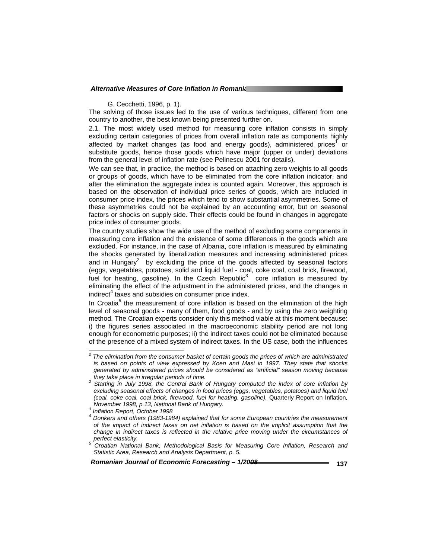#### G. Cecchetti, 1996, p. 1).

The solving of those issues led to the use of various techniques, different from one country to another, the best known being presented further on.

2.1. The most widely used method for measuring core inflation consists in simply excluding certain categories of prices from overall inflation rate as components highly affected by market changes (as food and energy goods), administered prices<sup>1</sup> or substitute goods, hence those goods which have major (upper or under) deviations from the general level of inflation rate (see Pelinescu 2001 for details).

We can see that, in practice, the method is based on attaching zero weights to all goods or groups of goods, which have to be eliminated from the core inflation indicator, and after the elimination the aggregate index is counted again. Moreover, this approach is based on the observation of individual price series of goods, which are included in consumer price index, the prices which tend to show substantial asymmetries. Some of these asymmetries could not be explained by an accounting error, but on seasonal factors or shocks on supply side. Their effects could be found in changes in aggregate price index of consumer goods.

The country studies show the wide use of the method of excluding some components in measuring core inflation and the existence of some differences in the goods which are excluded. For instance, in the case of Albania, core inflation is measured by eliminating the shocks generated by liberalization measures and increasing administered prices and in Hungary<sup>2</sup> by excluding the price of the goods affected by seasonal factors (eggs, vegetables, potatoes, solid and liquid fuel - coal, coke coal, coal brick, firewood, fuel for heating, gasoline). In the Czech Republic<sup>3</sup> core inflation is measured by eliminating the effect of the adjustment in the administered prices, and the changes in indirect $4$  taxes and subsidies on consumer price index.

In Croatia<sup>5</sup> the measurement of core inflation is based on the elimination of the high level of seasonal goods - many of them, food goods - and by using the zero weighting method. The Croatian experts consider only this method viable at this moment because: i) the figures series associated in the macroeconomic stability period are not long enough for econometric purposes; ii) the indirect taxes could not be eliminated because of the presence of a mixed system of indirect taxes. In the US case, both the influences

 *2 The elimination from the consumer basket of certain goods the prices of which are administrated is based on points of view expressed by Koen and Masi in 1997. They state that shocks generated by administered prices should be considered as "artificial" season moving because they take place in irregular periods of time.* 

*Starting in July 1998, the Central Bank of Hungary computed the index of core inflation by excluding seasonal effects of changes in food prices (eggs, vegetables, potatoes) and liquid fuel (coal, coke coal, coal brick, firewood, fuel for heating, gasoline),* Quarterly Report on Inflation*, November 1998, p.13, National Bank of Hungary.* 

*Inflation Report, October 1998* 

<sup>&</sup>lt;sup>4</sup> Donkers and others (1983-1984) explained that for some European countries the measurement *of the impact of indirect taxes on net inflation is based on the implicit assumption that the change in indirect taxes is reflected in the relative price moving under the circumstances of perfect elasticity. 5*

*Croatian National Bank, Methodological Basis for Measuring Core Inflation, Research and Statistic Area, Research and Analysis Department, p. 5.*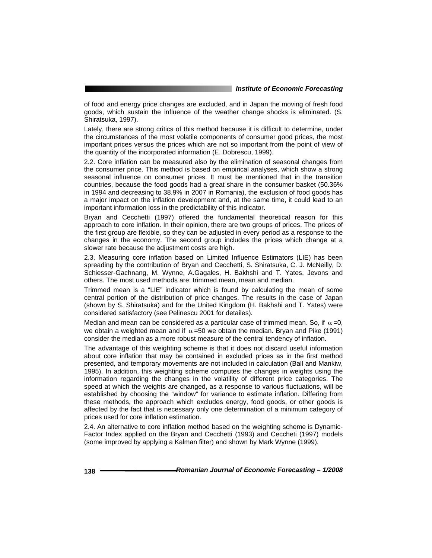of food and energy price changes are excluded, and in Japan the moving of fresh food goods, which sustain the influence of the weather change shocks is eliminated. (S. Shiratsuka, 1997).

Lately, there are strong critics of this method because it is difficult to determine, under the circumstances of the most volatile components of consumer good prices, the most important prices versus the prices which are not so important from the point of view of the quantity of the incorporated information (E. Dobrescu, 1999).

2.2. Core inflation can be measured also by the elimination of seasonal changes from the consumer price. This method is based on empirical analyses, which show a strong seasonal influence on consumer prices. It must be mentioned that in the transition countries, because the food goods had a great share in the consumer basket (50.36% in 1994 and decreasing to 38.9% in 2007 in Romania), the exclusion of food goods has a major impact on the inflation development and, at the same time, it could lead to an important information loss in the predictability of this indicator.

Bryan and Cecchetti (1997) offered the fundamental theoretical reason for this approach to core inflation. In their opinion, there are two groups of prices. The prices of the first group are flexible, so they can be adjusted in every period as a response to the changes in the economy. The second group includes the prices which change at a slower rate because the adjustment costs are high.

2.3. Measuring core inflation based on Limited Influence Estimators (LIE) has been spreading by the contribution of Bryan and Cecchetti, S. Shiratsuka, C. J. McNeilly, D. Schiesser-Gachnang, M. Wynne, A.Gagales, H. Bakhshi and T. Yates, Jevons and others. The most used methods are: trimmed mean, mean and median.

Trimmed mean is a "LIE" indicator which is found by calculating the mean of some central portion of the distribution of price changes. The results in the case of Japan (shown by S. Shiratsuka) and for the United Kingdom (H. Bakhshi and T. Yates) were considered satisfactory (see Pelinescu 2001 for detailes).

Median and mean can be considered as a particular case of trimmed mean. So, if  $\alpha = 0$ , we obtain a weighted mean and if  $\alpha$  =50 we obtain the median. Bryan and Pike (1991) consider the median as a more robust measure of the central tendency of inflation.

The advantage of this weighting scheme is that it does not discard useful information about core inflation that may be contained in excluded prices as in the first method presented, and temporary movements are not included in calculation (Ball and Mankiw, 1995). In addition, this weighting scheme computes the changes in weights using the information regarding the changes in the volatility of different price categories. The speed at which the weights are changed, as a response to various fluctuations, will be established by choosing the "window" for variance to estimate inflation. Differing from these methods, the approach which excludes energy, food goods, or other goods is affected by the fact that is necessary only one determination of a minimum category of prices used for core inflation estimation.

2.4. An alternative to core inflation method based on the weighting scheme is Dynamic-Factor Index applied on the Bryan and Cecchetti (1993) and Ceccheti (1997) models (some improved by applying a Kalman filter) and shown by Mark Wynne (1999).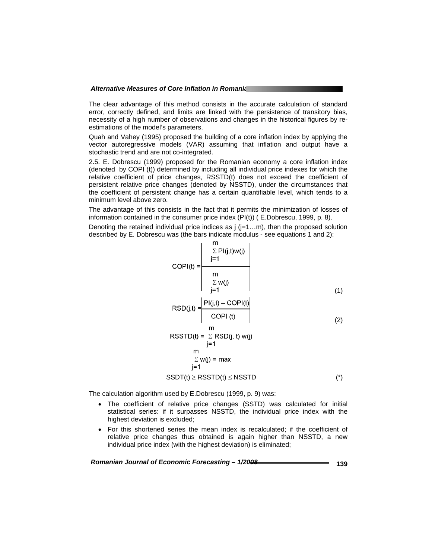The clear advantage of this method consists in the accurate calculation of standard error, correctly defined, and limits are linked with the persistence of transitory bias, necessity of a high number of observations and changes in the historical figures by reestimations of the model's parameters.

Quah and Vahey (1995) proposed the building of a core inflation index by applying the vector autoregressive models (VAR) assuming that inflation and output have a stochastic trend and are not co-integrated.

2.5. E. Dobrescu (1999) proposed for the Romanian economy a core inflation index (denoted by COPI (t)) determined by including all individual price indexes for which the relative coefficient of price changes, RSSTD(t) does not exceed the coefficient of persistent relative price changes (denoted by NSSTD), under the circumstances that the coefficient of persistent change has a certain quantifiable level, which tends to a minimum level above zero.

The advantage of this consists in the fact that it permits the minimization of losses of information contained in the consumer price index (PI(t)) ( E.Dobrescu, 1999, p. 8).

Denoting the retained individual price indices as  $j$  ( $j=1...m$ ), then the proposed solution described by E. Dobrescu was (the bars indicate modulus - see equations 1 and 2):

$$
COPI(t) = \frac{\sum_{j=1}^{m} PI(j, t)w(j)}{\sum_{j=1}^{m} w(j)}
$$
\n
$$
RSD(j,t) = \frac{|PI(j,t) - COPI(t)|}{COPI(t)}
$$
\n
$$
RSSTD(t) = \sum_{j=1}^{m} RSD(j, t) w(j)
$$
\n
$$
\sum_{j=1}^{m} w(j) = max
$$
\n
$$
SSDT(t) \geq RSSTD(t) \leq NSSTD
$$
\n(\*)

The calculation algorithm used by E.Dobrescu (1999, p. 9) was:

- The coefficient of relative price changes (SSTD) was calculated for initial statistical series: if it surpasses NSSTD, the individual price index with the highest deviation is excluded;
- For this shortened series the mean index is recalculated; if the coefficient of relative price changes thus obtained is again higher than NSSTD, a new individual price index (with the highest deviation) is eliminated;

 *Romanian Journal of Economic Forecasting – 1/2008* **139**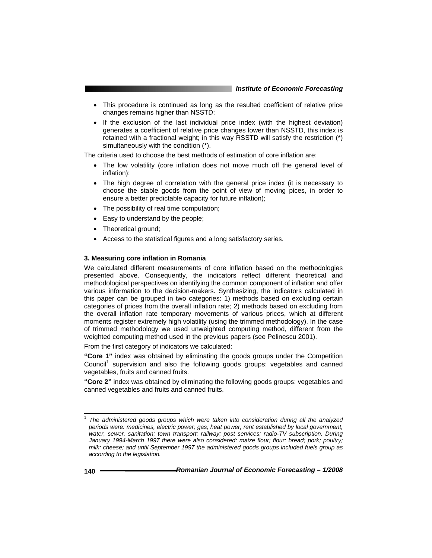- This procedure is continued as long as the resulted coefficient of relative price changes remains higher than NSSTD;
- If the exclusion of the last individual price index (with the highest deviation) generates a coefficient of relative price changes lower than NSSTD, this index is retained with a fractional weight; in this way RSSTD will satisfy the restriction (\*) simultaneously with the condition (\*).

The criteria used to choose the best methods of estimation of core inflation are:

- The low volatility (core inflation does not move much off the general level of inflation);
- The high degree of correlation with the general price index (it is necessary to choose the stable goods from the point of view of moving pices, in order to ensure a better predictable capacity for future inflation);
- The possibility of real time computation;
- Easy to understand by the people;
- Theoretical ground;
- Access to the statistical figures and a long satisfactory series.

### **3. Measuring core inflation in Romania**

We calculated different measurements of core inflation based on the methodologies presented above. Consequently, the indicators reflect different theoretical and methodological perspectives on identifying the common component of inflation and offer various information to the decision-makers. Synthesizing, the indicators calculated in this paper can be grouped in two categories: 1) methods based on excluding certain categories of prices from the overall inflation rate; 2) methods based on excluding from the overall inflation rate temporary movements of various prices, which at different moments register extremely high volatility (using the trimmed methodology). In the case of trimmed methodology we used unweighted computing method, different from the weighted computing method used in the previous papers (see Pelinescu 2001).

From the first category of indicators we calculated:

**"Core 1"** index was obtained by eliminating the goods groups under the Competition Council<sup>1</sup> supervision and also the following goods groups: vegetables and canned vegetables, fruits and canned fruits.

**"Core 2"** index was obtained by eliminating the following goods groups: vegetables and canned vegetables and fruits and canned fruits.

l

<sup>1</sup> *The administered goods groups which were taken into consideration during all the analyzed periods were: medicines, electric power; gas; heat power; rent established by local government, water, sewer, sanitation; town transport; railway; post services; radio-TV subscription. During January 1994-March 1997 there were also considered: maize flour; flour; bread; pork; poultry; milk; cheese; and until September 1997 the administered goods groups included fuels group as according to the legislation.*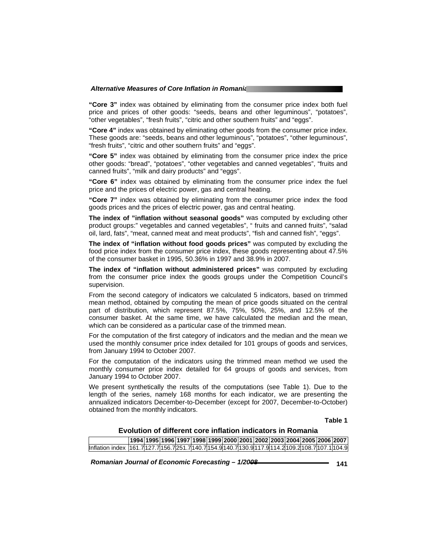**"Core 3"** index was obtained by eliminating from the consumer price index both fuel price and prices of other goods: "seeds, beans and other leguminous", "potatoes", "other vegetables", "fresh fruits", "citric and other southern fruits" and "eggs".

**"Core 4"** index was obtained by eliminating other goods from the consumer price index. These goods are: "seeds, beans and other leguminous", "potatoes", "other leguminous", "fresh fruits", "citric and other southern fruits" and "eggs".

**"Core 5"** index was obtained by eliminating from the consumer price index the price other goods: "bread", "potatoes", "other vegetables and canned vegetables", "fruits and canned fruits", "milk and dairy products" and "eggs".

**"Core 6"** index was obtained by eliminating from the consumer price index the fuel price and the prices of electric power, gas and central heating.

**"Core 7"** index was obtained by eliminating from the consumer price index the food goods prices and the prices of electric power, gas and central heating.

**The index of "inflation without seasonal goods"** was computed by excluding other product groups:" vegetables and canned vegetables", " fruits and canned fruits", "salad oil, lard, fats", "meat, canned meat and meat products", "fish and canned fish", "eggs".

**The index of "inflation without food goods prices"** was computed by excluding the food price index from the consumer price index, these goods representing about 47.5% of the consumer basket in 1995, 50.36% in 1997 and 38.9% in 2007.

**The index of "inflation without administered prices"** was computed by excluding from the consumer price index the goods groups under the Competition Council's supervision.

From the second category of indicators we calculated 5 indicators, based on trimmed mean method, obtained by computing the mean of price goods situated on the central part of distribution, which represent 87.5%, 75%, 50%, 25%, and 12.5% of the consumer basket. At the same time, we have calculated the median and the mean, which can be considered as a particular case of the trimmed mean.

For the computation of the first category of indicators and the median and the mean we used the monthly consumer price index detailed for 101 groups of goods and services, from January 1994 to October 2007.

For the computation of the indicators using the trimmed mean method we used the monthly consumer price index detailed for 64 groups of goods and services, from January 1994 to October 2007.

We present synthetically the results of the computations (see Table 1). Due to the length of the series, namely 168 months for each indicator, we are presenting the annualized indicators December-to-December (except for 2007, December-to-October) obtained from the monthly indicators.

#### **Table 1**

## **Evolution of different core inflation indicators in Romania**

|                                                                                                       |  |  |  |  |  |  | 1994119951199611997119981199912000120011200212003120041200512006120071 |
|-------------------------------------------------------------------------------------------------------|--|--|--|--|--|--|------------------------------------------------------------------------|
| llnflation index 1161.71127.71156.7251.71140.71154.91140.71130.9l117.9l114.2l109.2l108.7l107.1l104.9l |  |  |  |  |  |  |                                                                        |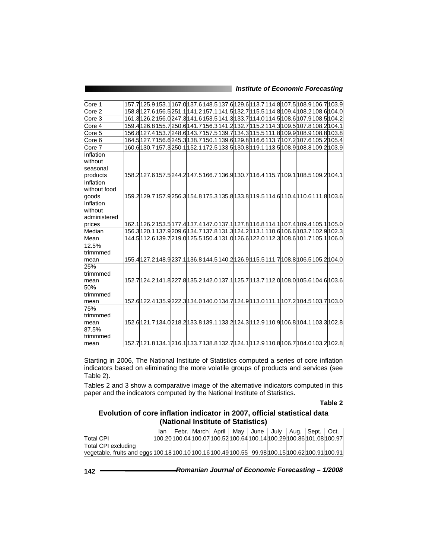| Core 1            |                                                                                     |  |  |  |  |  | 157.7 125.9 153.1 167.0 137.6 148.5 137.6 129.6 113.7 114.8 107.5 108.9 106.7 103.9  |
|-------------------|-------------------------------------------------------------------------------------|--|--|--|--|--|--------------------------------------------------------------------------------------|
| Core 2            | 158.8 127.6 156.5 251.1 141.2 157.1 141.5 132.7 115.5 114.8 109.4 108.2 108.6 104.0 |  |  |  |  |  |                                                                                      |
| Core 3            |                                                                                     |  |  |  |  |  | 161.3 126.2 156.0 247.3 141.6 153.5 141.3 133.7 114.0 114.5 108.6 107.9 108.5 104.2  |
| Core 4            | 159.4 126.8 155.7 250.6 141.7 156.3 141.2 132.7 115.2 114.3 109.5 107.8 108.2 104.1 |  |  |  |  |  |                                                                                      |
| Core <sub>5</sub> |                                                                                     |  |  |  |  |  | 156.8 127.4 153.7 248.6 143.7 157.5 139.7 134.3 115.5 111.8 109.9 108.9 108.8 103.8  |
| Core 6            |                                                                                     |  |  |  |  |  | 164.5 127.7 156.6 245.3 138.7 150.1 139.6 129.8 116.6 113.7 107.2 107.6 105.2 105.4  |
| Core 7            |                                                                                     |  |  |  |  |  | 160.6 130.7 157.3 250.1 152.1 172.5 133.5 130.8 119.1 113.5 108.9 108.8 109.2 103.9  |
| Inflation         |                                                                                     |  |  |  |  |  |                                                                                      |
| without           |                                                                                     |  |  |  |  |  |                                                                                      |
| seasonal          |                                                                                     |  |  |  |  |  |                                                                                      |
| products          |                                                                                     |  |  |  |  |  | 158.2 127.6 157.5 244.2 147.5 166.7 136.9 130.7 116.4 115.7 109.1 108.5 109.2 104.1  |
| Inflation         |                                                                                     |  |  |  |  |  |                                                                                      |
| without food      |                                                                                     |  |  |  |  |  |                                                                                      |
| goods             |                                                                                     |  |  |  |  |  | 159.2 129.7 157.9 256.3 154.8 175.3 135.8 133.8 119.5 114.6 110.4 110.6 111.8 103.6  |
| Inflation         |                                                                                     |  |  |  |  |  |                                                                                      |
| without           |                                                                                     |  |  |  |  |  |                                                                                      |
| administered      |                                                                                     |  |  |  |  |  |                                                                                      |
| prices            |                                                                                     |  |  |  |  |  | 162.1 126.2 153.5 177.4 137.4 147.0 137.1 127.8 116.8 114.1 107.4 109.4 105.1 105.0  |
| Median            |                                                                                     |  |  |  |  |  | 156.3 120.1 137.9 209.6 134.7 137.8 131.3 124.2 113.1 110.6 106.6 103.7 102.9 102.3  |
| Mean              |                                                                                     |  |  |  |  |  | 144.5 112.6 139.7 219.0 125.5 150.4 131.0 126.6 122.0 112.3 108.6 101.7 105.1 106.0  |
| 12.5%             |                                                                                     |  |  |  |  |  |                                                                                      |
| ltrimmmed         |                                                                                     |  |  |  |  |  |                                                                                      |
| mean              |                                                                                     |  |  |  |  |  | 155.4 127.2 148.9 237.1 136.8 144.5 140.2 126.9 115.5 111.7 108.8 106.5 105.2 104.0  |
| 25%               |                                                                                     |  |  |  |  |  |                                                                                      |
| ltrimmmed         |                                                                                     |  |  |  |  |  |                                                                                      |
| mean              |                                                                                     |  |  |  |  |  | 152.7l124.2l141.8l227.8l135.2l142.0l137.1l125.7l113.7l112.0l108.0l105.6l104.6l103.6l |
| 50%               |                                                                                     |  |  |  |  |  |                                                                                      |
| trimmmed          |                                                                                     |  |  |  |  |  |                                                                                      |
| mean              |                                                                                     |  |  |  |  |  | 152.6 122.4 135.9 222.3 134.0 140.0 134.7 124.9 113.0 111.1 107.2 104.5 103.7 103.0  |
| 75%               |                                                                                     |  |  |  |  |  |                                                                                      |
| trimmmed          |                                                                                     |  |  |  |  |  |                                                                                      |
| mean              |                                                                                     |  |  |  |  |  | 152.6 121.7 134.0 218.2 133.8 139.1 133.2 124.3 12.9 110.9 106.8 104.1 103.3 102.8   |
| 87.5%             |                                                                                     |  |  |  |  |  |                                                                                      |
| ltrimmmed         |                                                                                     |  |  |  |  |  |                                                                                      |
| mean              |                                                                                     |  |  |  |  |  | 152.7 121.8 134.1 216.1 133.7 138.8 132.7 124.1 112.9 110.8 106.7 104.0 103.2 102.8  |

Starting in 2006, The National Institute of Statistics computed a series of core inflation indicators based on eliminating the more volatile groups of products and services (see Table 2).

Tables 2 and 3 show a comparative image of the alternative indicators computed in this paper and the indicators computed by the National Institute of Statistics.

## **Table 2**

# **Evolution of core inflation indicator in 2007, official statistical data (National Institute of Statistics)**

|                                                                                                 | lan                                                                     |  |  |  | I Febr. March April   May   June   July   Aug.   Sept.   Oct. |  |
|-------------------------------------------------------------------------------------------------|-------------------------------------------------------------------------|--|--|--|---------------------------------------------------------------|--|
| <b>Total CPI</b>                                                                                | l100.20l100.04l100.07l100.52l100.64l100.14l100.29l100.86l101.08l100.97l |  |  |  |                                                               |  |
| Total CPI excluding                                                                             |                                                                         |  |  |  |                                                               |  |
| vegetable, fruits and eggs 100.18 100.10 100.16 100.49 100.55 99.98 100.15 100.62 100.91 100.91 |                                                                         |  |  |  |                                                               |  |

| Romanian Journal of Economic Forecasting - 1/2008<br>142 |  |
|----------------------------------------------------------|--|
|----------------------------------------------------------|--|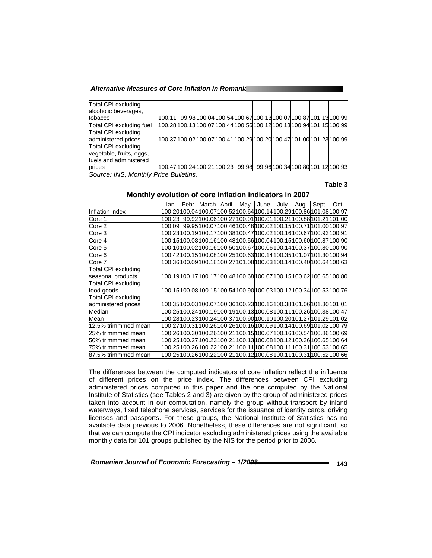|  | 100.11 |  |  |  | 99.98 100.04 100.54 100.67 100.13 100.07 100.87 101.13 100.99<br>100.28 100.13 100.07 100.44 100.56 100.12 100.13 100.94 101.15 100.99<br>100.37 100.02 100.07 100.41 100.29 100.20 100.47 101.00 101.23 100.99<br>100.47 100.24 100.21 100.23  99.98  99.96 100.34 100.80 101.12 100.93 |
|--|--------|--|--|--|------------------------------------------------------------------------------------------------------------------------------------------------------------------------------------------------------------------------------------------------------------------------------------------|

*Source: INS, Monthly Price Bulletins.* 

## **Table 3**

## **Monthly evolution of core inflation indicators in 2007**

|                            | lan |  | Febr. March April | May                                                                                    | June | July | Aug. | Sept. | Oct.                                                                                   |
|----------------------------|-----|--|-------------------|----------------------------------------------------------------------------------------|------|------|------|-------|----------------------------------------------------------------------------------------|
| Inflation index            |     |  |                   | 100.20 100.04 100.07 100.52 100.64 100.14 100.29 100.86 101.08 100.97                  |      |      |      |       |                                                                                        |
| Core 1                     |     |  |                   |                                                                                        |      |      |      |       | 100.23   99.92   100.06   100.27   100.01   100.01   100.21   100.88   101.21   101.00 |
| Core 2                     |     |  |                   | 100.09   99.95   100.07   100.46   100.48   100.02   100.15   100.71   101.00   100.97 |      |      |      |       |                                                                                        |
| Core 3                     |     |  |                   | 100.23 100.19 100.17 100.38 100.47 100.02 100.16 100.67 100.93 100.91                  |      |      |      |       |                                                                                        |
| Core 4                     |     |  |                   |                                                                                        |      |      |      |       | 100.15 100.08 100.16 100.48 100.56 100.04 100.15 100.60 100.87 100.90                  |
| Core 5                     |     |  |                   |                                                                                        |      |      |      |       | 100.10 100.02 100.16 100.50 100.67 100.06 100.14 100.37 100.80 100.90                  |
| Core 6                     |     |  |                   |                                                                                        |      |      |      |       | 100.42 100.15 100.08 100.25 100.63 100.14 100.35 101.07 101.30 100.94                  |
| Core 7                     |     |  |                   |                                                                                        |      |      |      |       | 100.36 100.09 100.18 100.27 101.08 100.03 100.14 100.40 100.64 100.63                  |
| Total CPI excluding        |     |  |                   |                                                                                        |      |      |      |       |                                                                                        |
| seasonal products          |     |  |                   |                                                                                        |      |      |      |       | 100.19 100.17 100.17 100.48 100.68 100.07 100.15 100.62 100.65 100.80                  |
| Total CPI excluding        |     |  |                   |                                                                                        |      |      |      |       |                                                                                        |
| food goods                 |     |  |                   |                                                                                        |      |      |      |       | 100.15 100.08 100.15 100.54 100.90 100.03 100.12 100.34 100.53 100.76                  |
| <b>Total CPI excluding</b> |     |  |                   |                                                                                        |      |      |      |       |                                                                                        |
| administered prices        |     |  |                   | 100.35 100.03 100.07 100.36 100.23 100.16 100.38 101.06 101.30 101.01                  |      |      |      |       |                                                                                        |
| Median                     |     |  |                   | 100.25 100.24 100.19 100.19 100.13 100.08 100.11 100.26 100.38 100.47                  |      |      |      |       |                                                                                        |
| Mean                       |     |  |                   |                                                                                        |      |      |      |       | 100.28 100.23 100.24 100.37 100.90 100.10 100.20 101.27 101.29 101.02                  |
| 12.5% trimmmed mean        |     |  |                   |                                                                                        |      |      |      |       | 100.27 100.31 100.26 100.26 100.16 100.09 100.14 100.69 101.02 100.79                  |
| 25% trimmmed mean          |     |  |                   |                                                                                        |      |      |      |       | 100.26 100.30 100.26 100.21 100.15 100.07 100.16 100.54 100.86 100.69                  |
| 50% trimmmed mean          |     |  |                   |                                                                                        |      |      |      |       | 100.25 100.27 100.23 100.21 100.13 100.08 100.12 100.36 100.65 100.64                  |
| 75% trimmmed mean          |     |  |                   |                                                                                        |      |      |      |       | 100.25 100.26 100.22 100.21 100.11 100.08 100.11 100.31 100.53 100.65                  |
| 87.5% trimmmed mean        |     |  |                   |                                                                                        |      |      |      |       | 100.25 100.26 100.22 100.21 100.12 100.08 100.11 100.31 100.52 100.66                  |

The differences between the computed indicators of core inflation reflect the influence of different prices on the price index. The differences between CPI excluding administered prices computed in this paper and the one computed by the National Institute of Statistics (see Tables 2 and 3) are given by the group of administered prices taken into account in our computation, namely the group without transport by inland waterways, fixed telephone services, services for the issuance of identity cards, driving licenses and passports. For these groups, the National Institute of Statistics has no available data previous to 2006. Nonetheless, these differences are not significant, so that we can compute the CPI indicator excluding administered prices using the available monthly data for 101 groups published by the NIS for the period prior to 2006.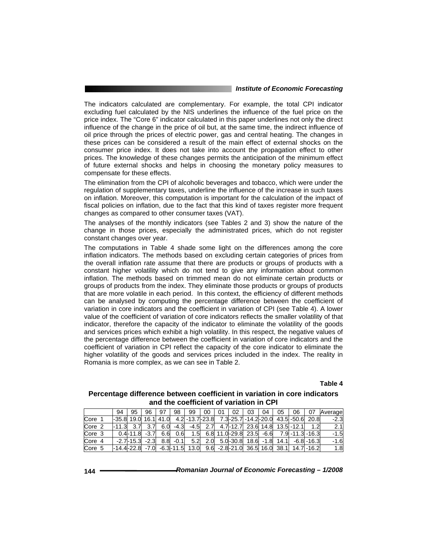The indicators calculated are complementary. For example, the total CPI indicator excluding fuel calculated by the NIS underlines the influence of the fuel price on the price index. The "Core 6" indicator calculated in this paper underlines not only the direct influence of the change in the price of oil but, at the same time, the indirect influence of oil price through the prices of electric power, gas and central heating. The changes in these prices can be considered a result of the main effect of external shocks on the consumer price index. It does not take into account the propagation effect to other prices. The knowledge of these changes permits the anticipation of the minimum effect of future external shocks and helps in choosing the monetary policy measures to compensate for these effects.

The elimination from the CPI of alcoholic beverages and tobacco, which were under the regulation of supplementary taxes, underline the influence of the increase in such taxes on inflation. Moreover, this computation is important for the calculation of the impact of fiscal policies on inflation, due to the fact that this kind of taxes register more frequent changes as compared to other consumer taxes (VAT).

The analyses of the monthly indicators (see Tables 2 and 3) show the nature of the change in those prices, especially the administrated prices, which do not register constant changes over year.

The computations in Table 4 shade some light on the differences among the core inflation indicators. The methods based on excluding certain categories of prices from the overall inflation rate assume that there are products or groups of products with a constant higher volatility which do not tend to give any information about common inflation. The methods based on trimmed mean do not eliminate certain products or groups of products from the index. They eliminate those products or groups of products that are more volatile in each period. In this context, the efficiency of different methods can be analysed by computing the percentage difference between the coefficient of variation in core indicators and the coefficient in variation of CPI (see Table 4). A lower value of the coefficient of variation of core indicators reflects the smaller volatility of that indicator, therefore the capacity of the indicator to eliminate the volatility of the goods and services prices which exhibit a high volatility. In this respect, the negative values of the percentage difference between the coefficient in variation of core indicators and the coefficient of variation in CPI reflect the capacity of the core indicator to eliminate the higher volatility of the goods and services prices included in the index. The reality in Romania is more complex, as we can see in Table 2.

## **Table 4**

## **Percentage difference between coefficient in variation in core indicators and the coefficient of variation in CPI**

|                   | 94                                | 95                 | 96 | 97  | 98     | 99               | 00 | 02 | 03                                       | 04 | 05 | 06 | 07                    | Average |
|-------------------|-----------------------------------|--------------------|----|-----|--------|------------------|----|----|------------------------------------------|----|----|----|-----------------------|---------|
| Core              | l-35.8l 19.0l 16.1l 41.0l         |                    |    |     |        | 4.2 -13.7 - 23.8 |    |    | 7.3-25.7 - 14.2 - 20.0 43.5 - 50.6 20.8  |    |    |    |                       | $-2.3$  |
| Core <sub>2</sub> | 1-11.3 3.7 3.7                    |                    |    | 6.0 | -4.3   | -4.5             |    |    | 2.7 4.7-12.7 23.6 14.8 13.5 -12.1        |    |    |    | 1.2                   | 2.1     |
| Core <sub>3</sub> |                                   | $0.4 - 11.8 - 3.7$ |    | 6.6 | 0.6    | 1.5              |    |    | 6.8 11.0 - 29.8 23.5 - 6.6               |    |    |    | 7.9 - 11.3 - 16.3     | $-1.5$  |
| Core 4            |                                   | -2.7-15.3 -2.3     |    | 8.8 | $-0.1$ | 5.2              |    |    | 2.0 5.0 - 30.8 18.6 - 1.8                |    |    |    | $14.1$ $-6.8$ $-16.3$ | $-1.6$  |
| Core 5            | $-14.4 - 22.8 - 7.0 - 6.3 - 11.5$ |                    |    |     |        | 13.0             |    |    | 9.6 -2.8 -21.0 36.5 16.0 38.1 14.7 -16.2 |    |    |    |                       | 1.8     |

| 144 | Romanian Journal of Economic Forecasting - 1/2008 |
|-----|---------------------------------------------------|
|-----|---------------------------------------------------|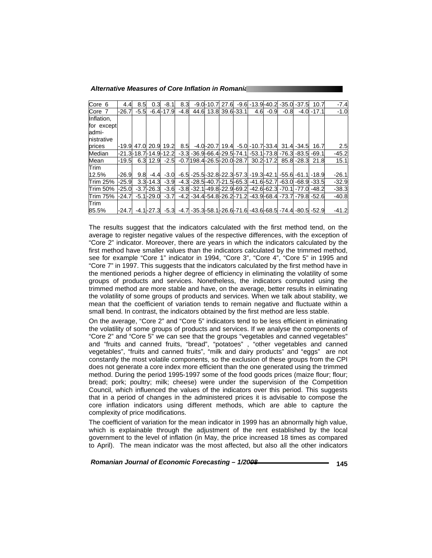| Core 6            | 4.4        | 8.5    | 0.3 <sup>1</sup> | -8.1                 | 8.3    |                          | $-9.0 - 10.7$         | 27.6 |     |               |        | -9.6 -13.9 -40.2 -35.0 -37.5                                                                         | 10.7          | $-7.4$  |
|-------------------|------------|--------|------------------|----------------------|--------|--------------------------|-----------------------|------|-----|---------------|--------|------------------------------------------------------------------------------------------------------|---------------|---------|
| Core <sub>7</sub> | $-26.7$    | $-5.5$ |                  | $-6.4 - 17.9$        | $-4.8$ |                          | 44.6 13.8 39.6 - 33.1 |      | 4.6 | -0.9          | $-0.8$ |                                                                                                      | $-4.0 - 17.1$ | $-1.0$  |
| Inflation.        |            |        |                  |                      |        |                          |                       |      |     |               |        |                                                                                                      |               |         |
| for except        |            |        |                  |                      |        |                          |                       |      |     |               |        |                                                                                                      |               |         |
| admi-             |            |        |                  |                      |        |                          |                       |      |     |               |        |                                                                                                      |               |         |
| nistrative        |            |        |                  |                      |        |                          |                       |      |     |               |        |                                                                                                      |               |         |
| prices            | -19.9 47.0 |        |                  | 20.9 19.2            |        |                          |                       |      |     |               |        | 8.5 -4.0 - 20.7   19.4 - 5.0 - 10.7 - 33.4 31.4 - 34.5                                               | 16.7          | 2.5     |
| Median            |            |        |                  | -21.3-18.7-14.9-12.2 |        |                          |                       |      |     |               |        | -3.3 -36.9 -66.4 - 29.5 - 74.1 - 53.1 - 73.8 - 76.3 - 83.5 - 69.1                                    |               | $-45.2$ |
| Mean              | -19.5      |        |                  | $6.3$ 12.9 $-2.5$    |        | -0.7198.4-26.5-20.0-28.7 |                       |      |     | $30.2 - 17.2$ |        | 85.8 - 28.3                                                                                          | 21.8          | 15.1    |
| <b>Trim</b>       |            |        |                  |                      |        |                          |                       |      |     |               |        |                                                                                                      |               |         |
| 12.5%             | $-26.9$    | 9.8    |                  | $-4.4$ $-3.0$        |        |                          |                       |      |     |               |        | -6.5 -25.5 -32.8 - 22.3 - 57.3 - 19.3 - 42.1 - 55.6 - 61.1 - 18.9                                    |               | $-26.1$ |
| <b>Trim 25%</b>   | $-25.9$    |        |                  | $3.3 - 14.3 - 3.9$   |        |                          |                       |      |     |               |        | -4.3 -28.5 -40.7 - 21.5 - 65.3 - 41.6 - 52.7 - 63.0 - 68.9 - 33.5                                    |               | $-32.9$ |
| <b>Trim 50%</b>   | $-25.0$    |        |                  |                      |        |                          |                       |      |     |               |        | $-3.7$ $-26.3$ $-3.6$ $-3.8$ $-32.1$ $-49.8$ $-22.9$ $-69.2$ $-42.6$ $-62.3$ $-70.1$ $-77.0$         | $-48.2$       | $-38.3$ |
| <b>Trim 75%</b>   | $-24.7$    |        | $-5.1 - 29.0$    | $-3.7$               |        |                          |                       |      |     |               |        | -4.2 -34.4 -54.8 - 26.2 - 71.2 - 43.9 - 68.4 - 73.7 - 79.8 - 52.6                                    |               | $-40.8$ |
| Trim              |            |        |                  |                      |        |                          |                       |      |     |               |        |                                                                                                      |               |         |
| 85.5%             | -24.7      |        |                  |                      |        |                          |                       |      |     |               |        | $-4.1$ $-27.3$ $-5.3$ $-4.7$ $-35.3$ $-58.1$ $-26.6$ $-71.6$ $-43.6$ $-68.5$ $-74.4$ $-80.5$ $-52.9$ |               | $-41.2$ |

The results suggest that the indicators calculated with the first method tend, on the average to register negative values of the respective differences, with the exception of "Core 2" indicator. Moreover, there are years in which the indicators calculated by the first method have smaller values than the indicators calculated by the trimmed method, see for example "Core 1" indicator in 1994, "Core 3", "Core 4", "Core 5" in 1995 and "Core 7" in 1997. This suggests that the indicators calculated by the first method have in the mentioned periods a higher degree of efficiency in eliminating the volatility of some groups of products and services. Nonetheless, the indicators computed using the trimmed method are more stable and have, on the average, better results in eliminating the volatility of some groups of products and services. When we talk about stability, we mean that the coefficient of variation tends to remain negative and fluctuate within a small bend. In contrast, the indicators obtained by the first method are less stable.

On the average, "Core 2" and "Core 5" indicators tend to be less efficient in eliminating the volatility of some groups of products and services. If we analyse the components of "Core 2" and "Core 5" we can see that the groups "vegetables and canned vegetables" and "fruits and canned fruits, "bread", "potatoes" , "other vegetables and canned vegetables", "fruits and canned fruits", "milk and dairy products" and "eggs" are not constantly the most volatile components, so the exclusion of these groups from the CPI does not generate a core index more efficient than the one generated using the trimmed method. During the period 1995-1997 some of the food goods prices (maize flour; flour; bread; pork; poultry; milk; cheese) were under the supervision of the Competition Council, which influenced the values of the indicators over this period. This suggests that in a period of changes in the administered prices it is advisable to compose the core inflation indicators using different methods, which are able to capture the complexity of price modifications.

The coefficient of variation for the mean indicator in 1999 has an abnormally high value, which is explainable through the adjustment of the rent established by the local government to the level of inflation (in May, the price increased 18 times as compared to April). The mean indicator was the most affected, but also all the other indicators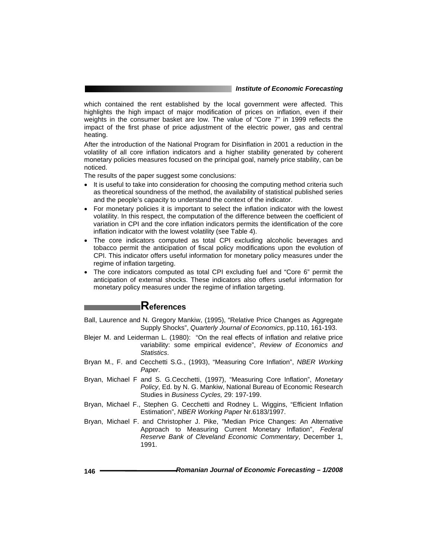which contained the rent established by the local government were affected. This highlights the high impact of major modification of prices on inflation, even if their weights in the consumer basket are low. The value of "Core 7" in 1999 reflects the impact of the first phase of price adjustment of the electric power, gas and central heating.

After the introduction of the National Program for Disinflation in 2001 a reduction in the volatility of all core inflation indicators and a higher stability generated by coherent monetary policies measures focused on the principal goal, namely price stability, can be noticed.

The results of the paper suggest some conclusions:

- It is useful to take into consideration for choosing the computing method criteria such as theoretical soundness of the method, the availability of statistical published series and the people's capacity to understand the context of the indicator.
- For monetary policies it is important to select the inflation indicator with the lowest volatility. In this respect, the computation of the difference between the coefficient of variation in CPI and the core inflation indicators permits the identification of the core inflation indicator with the lowest volatility (see Table 4).
- The core indicators computed as total CPI excluding alcoholic beverages and tobacco permit the anticipation of fiscal policy modifications upon the evolution of CPI. This indicator offers useful information for monetary policy measures under the regime of inflation targeting.
- The core indicators computed as total CPI excluding fuel and "Core 6" permit the anticipation of external shocks. These indicators also offers useful information for monetary policy measures under the regime of inflation targeting.

# **References**

- Ball, Laurence and N. Gregory Mankiw, (1995), "Relative Price Changes as Aggregate Supply Shocks", *Quarterly Journal of Economics*, pp.110, 161-193.
- Blejer M. and Leiderman L. (1980): "On the real effects of inflation and relative price variability: some empirical evidence", *Review of Economics and Statistics*.
- Bryan M., F. and Cecchetti S.G., (1993), "Measuring Core Inflation", *NBER Working Paper*.
- Bryan, Michael F and S. G.Cecchetti, (1997), "Measuring Core Inflation", *Monetary Policy*, Ed. by N. G. Mankiw, National Bureau of Economic Research Studies in *Business Cycles,* 29: 197-199.
- Bryan, Michael F., Stephen G. Cecchetti and Rodney L. Wiggins, "Efficient Inflation Estimation", *NBER Working Paper* Nr.6183/1997.
- Bryan, Michael F. and Christopher J. Pike, "Median Price Changes: An Alternative Approach to Measuring Current Monetary Inflation", *Federal Reserve Bank of Cleveland Economic Commentary*, December 1, 1991.

| Romanian Journal of Economic Forecasting - 1/2008<br>146 |  |
|----------------------------------------------------------|--|
|----------------------------------------------------------|--|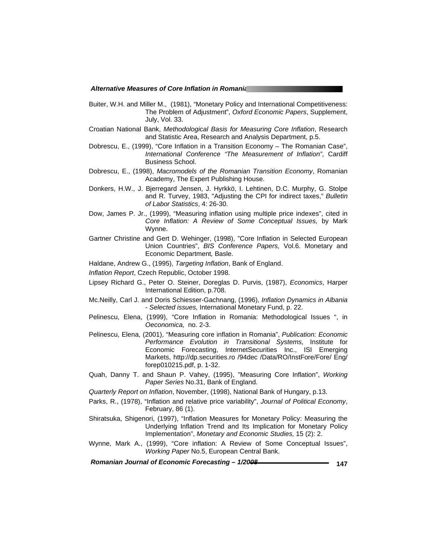- Buiter, W.H. and Miller M., (1981), "Monetary Policy and International Competitiveness: The Problem of Adjustment", *Oxford Economic Papers*, Supplement, July, Vol. 33.
- Croatian National Bank, *Methodological Basis for Measuring Core Inflation*, Research and Statistic Area, Research and Analysis Department, p.5.
- Dobrescu, E., (1999), "Core Inflation in a Transition Economy The Romanian Case", *International Conference "The Measurement of Inflation"*, Cardiff Business School.
- Dobrescu, E., (1998), *Macromodels of the Romanian Transition Economy*, Romanian Academy, The Expert Publishing House.
- Donkers, H.W., J. Bjerregard Jensen, J. Hyrkkö, I. Lehtinen, D.C. Murphy, G. Stolpe and R. Turvey, 1983, "Adjusting the CPI for indirect taxes," *Bulletin of Labor Statistics*, 4: 26-30.
- Dow, James P. Jr., (1999), "Measuring inflation using multiple price indexes", cited in *Core Inflation: A Review of Some Conceptual Issues,* by Mark Wynne.
- Gartner Christine and Gert D. Wehinger, (1998), "Core Inflation in Selected European Union Countries", *BIS Conference Papers,* Vol.6. Monetary and Economic Department*,* Basle.
- Haldane, Andrew G., (1995), *Targeting Inflation*, Bank of England.
- *Inflation Report*, Czech Republic, October 1998.
- Lipsey Richard G., Peter O. Steiner, Doreglas D. Purvis, (1987), *Economics*, Harper International Edition, p.708.
- Mc.Neilly, Carl J. and Doris Schiesser-Gachnang, (1996), *Inflation Dynamics in Albania - Selected issues,* International Monetary Fund, p. 22.
- Pelinescu, Elena, (1999), "Core Inflation in Romania: Methodological Issues ", in *Oeconomica,* no. 2-3.
- Pelinescu, Elena, (2001), "Measuring core inflation in Romania", *Publication: Economic Performance Evolution in Transitional Systems,* Institute for Economic Forecasting, InternetSecurities Inc., ISI Emerging Markets, http://dp.securities.ro /94dec /Data/RO/InstFore/Fore/ Eng/ forep010215.pdf, p. 1-32.
- Quah, Danny T. and Shaun P. Vahey, (1995), "Measuring Core Inflation", *Working Paper Series* No.31, Bank of England.
- *Quarterly Report on Inflation*, November, (1998), National Bank of Hungary, p.13.
- Parks, R., (1978), "Inflation and relative price variability", *Journal of Political Economy*, February, 86 (1).
- Shiratsuka, Shigenori, (1997), "Inflation Measures for Monetary Policy: Measuring the Underlying Inflation Trend and Its Implication for Monetary Policy Implementation", *Monetary and Economic Studies,* 15 (2): 2.
- Wynne, Mark A., (1999), "Core inflation: A Review of Some Conceptual Issues", *Working Paper* No.5, European Central Bank.